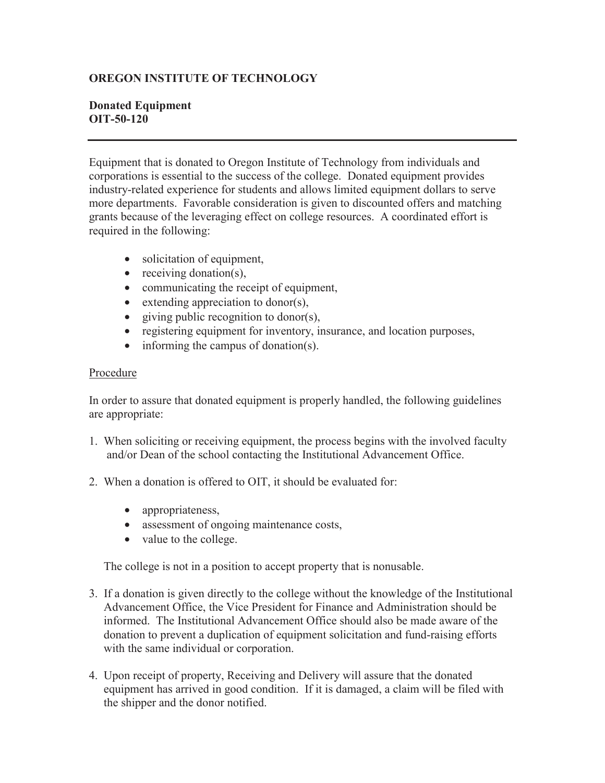## **OREGON INSTITUTE OF TECHNOLOGY**

## **Donated Equipment OIT-50-120**

Equipment that is donated to Oregon Institute of Technology from individuals and corporations is essential to the success of the college. Donated equipment provides industry-related experience for students and allows limited equipment dollars to serve more departments. Favorable consideration is given to discounted offers and matching grants because of the leveraging effect on college resources. A coordinated effort is required in the following:

- solicitation of equipment,
- receiving donation(s),
- communicating the receipt of equipment,
- extending appreciation to donor(s),
- giving public recognition to donor(s),
- registering equipment for inventory, insurance, and location purposes,
- informing the campus of donation(s).

## Procedure

In order to assure that donated equipment is properly handled, the following guidelines are appropriate:

- 1. When soliciting or receiving equipment, the process begins with the involved faculty and/or Dean of the school contacting the Institutional Advancement Office.
- 2. When a donation is offered to OIT, it should be evaluated for:
	- appropriateness,
	- assessment of ongoing maintenance costs,
	- value to the college.

The college is not in a position to accept property that is nonusable.

- 3. If a donation is given directly to the college without the knowledge of the Institutional Advancement Office, the Vice President for Finance and Administration should be informed. The Institutional Advancement Office should also be made aware of the donation to prevent a duplication of equipment solicitation and fund-raising efforts with the same individual or corporation.
- 4. Upon receipt of property, Receiving and Delivery will assure that the donated equipment has arrived in good condition. If it is damaged, a claim will be filed with the shipper and the donor notified.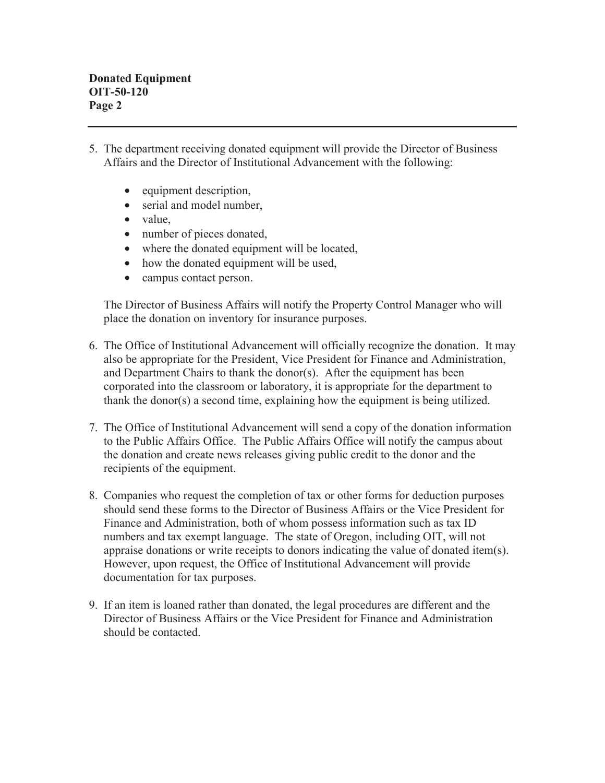- 5. The department receiving donated equipment will provide the Director of Business Affairs and the Director of Institutional Advancement with the following:
	- equipment description,
	- serial and model number,
	- value,
	- number of pieces donated,
	- where the donated equipment will be located,
	- how the donated equipment will be used,
	- campus contact person.

 The Director of Business Affairs will notify the Property Control Manager who will place the donation on inventory for insurance purposes.

- 6. The Office of Institutional Advancement will officially recognize the donation. It may also be appropriate for the President, Vice President for Finance and Administration, and Department Chairs to thank the donor(s). After the equipment has been corporated into the classroom or laboratory, it is appropriate for the department to thank the donor(s) a second time, explaining how the equipment is being utilized.
- 7. The Office of Institutional Advancement will send a copy of the donation information to the Public Affairs Office. The Public Affairs Office will notify the campus about the donation and create news releases giving public credit to the donor and the recipients of the equipment.
- 8. Companies who request the completion of tax or other forms for deduction purposes should send these forms to the Director of Business Affairs or the Vice President for Finance and Administration, both of whom possess information such as tax ID numbers and tax exempt language. The state of Oregon, including OIT, will not appraise donations or write receipts to donors indicating the value of donated item(s). However, upon request, the Office of Institutional Advancement will provide documentation for tax purposes.
- 9. If an item is loaned rather than donated, the legal procedures are different and the Director of Business Affairs or the Vice President for Finance and Administration should be contacted.